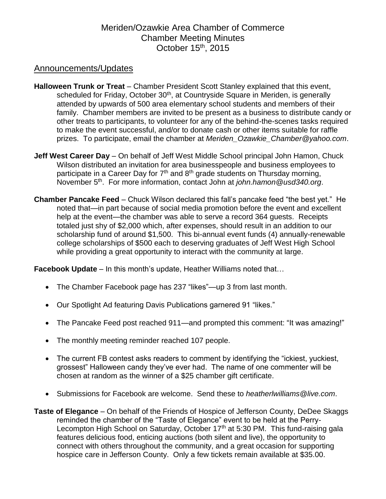# Meriden/Ozawkie Area Chamber of Commerce Chamber Meeting Minutes October 15<sup>th</sup>, 2015

### Announcements/Updates

- **Halloween Trunk or Treat** Chamber President Scott Stanley explained that this event, scheduled for Friday, October 30<sup>th</sup>, at Countryside Square in Meriden, is generally attended by upwards of 500 area elementary school students and members of their family. Chamber members are invited to be present as a business to distribute candy or other treats to participants, to volunteer for any of the behind-the-scenes tasks required to make the event successful, and/or to donate cash or other items suitable for raffle prizes. To participate, email the chamber at *Meriden\_Ozawkie\_Chamber@yahoo.com*.
- **Jeff West Career Day** On behalf of Jeff West Middle School principal John Hamon, Chuck Wilson distributed an invitation for area businesspeople and business employees to participate in a Career Day for  $7<sup>th</sup>$  and  $8<sup>th</sup>$  grade students on Thursday morning, November 5th. For more information, contact John at *john.hamon@usd340.org*.
- **Chamber Pancake Feed** Chuck Wilson declared this fall's pancake feed "the best yet." He noted that—in part because of social media promotion before the event and excellent help at the event—the chamber was able to serve a record 364 guests. Receipts totaled just shy of \$2,000 which, after expenses, should result in an addition to our scholarship fund of around \$1,500. This bi-annual event funds (4) annually-renewable college scholarships of \$500 each to deserving graduates of Jeff West High School while providing a great opportunity to interact with the community at large.

**Facebook Update** – In this month's update, Heather Williams noted that…

- The Chamber Facebook page has 237 "likes"—up 3 from last month.
- Our Spotlight Ad featuring Davis Publications garnered 91 "likes."
- The Pancake Feed post reached 911—and prompted this comment: "It was amazing!"
- The monthly meeting reminder reached 107 people.
- The current FB contest asks readers to comment by identifying the "ickiest, yuckiest, grossest" Halloween candy they've ever had. The name of one commenter will be chosen at random as the winner of a \$25 chamber gift certificate.
- Submissions for Facebook are welcome. Send these to *heatherlwilliams@live.com*.
- **Taste of Elegance**  On behalf of the Friends of Hospice of Jefferson County, DeDee Skaggs reminded the chamber of the "Taste of Elegance" event to be held at the Perry-Lecompton High School on Saturday, October 17<sup>th</sup> at 5:30 PM. This fund-raising gala features delicious food, enticing auctions (both silent and live), the opportunity to connect with others throughout the community, and a great occasion for supporting hospice care in Jefferson County. Only a few tickets remain available at \$35.00.